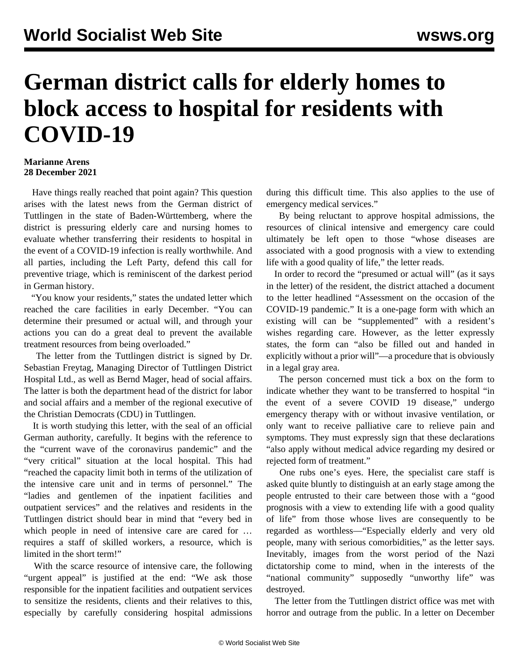## **German district calls for elderly homes to block access to hospital for residents with COVID-19**

## **Marianne Arens 28 December 2021**

 Have things really reached that point again? This question arises with the latest news from the German district of Tuttlingen in the state of Baden-Württemberg, where the district is pressuring elderly care and nursing homes to evaluate whether transferring their residents to hospital in the event of a COVID-19 infection is really worthwhile. And all parties, including the Left Party, defend this call for preventive triage, which is reminiscent of the darkest period in German history.

 "You know your residents," states the undated [letter](https://www.landkreis-tuttlingen.de/media/custom/2527_3192_1.PDF?1639755334) which reached the care facilities in early December. "You can determine their presumed or actual will, and through your actions you can do a great deal to prevent the available treatment resources from being overloaded."

 The letter from the Tuttlingen district is signed by Dr. Sebastian Freytag, Managing Director of Tuttlingen District Hospital Ltd., as well as Bernd Mager, head of social affairs. The latter is both the department head of the district for labor and social affairs and a member of the regional executive of the Christian Democrats (CDU) in Tuttlingen.

 It is worth studying this letter, with the seal of an official German authority, carefully. It begins with the reference to the "current wave of the coronavirus pandemic" and the "very critical" situation at the local hospital. This had "reached the capacity limit both in terms of the utilization of the intensive care unit and in terms of personnel." The "ladies and gentlemen of the inpatient facilities and outpatient services" and the relatives and residents in the Tuttlingen district should bear in mind that "every bed in which people in need of intensive care are cared for … requires a staff of skilled workers, a resource, which is limited in the short term!"

 With the scarce resource of intensive care, the following "urgent appeal" is justified at the end: "We ask those responsible for the inpatient facilities and outpatient services to sensitize the residents, clients and their relatives to this, especially by carefully considering hospital admissions during this difficult time. This also applies to the use of emergency medical services."

 By being reluctant to approve hospital admissions, the resources of clinical intensive and emergency care could ultimately be left open to those "whose diseases are associated with a good prognosis with a view to extending life with a good quality of life," the letter reads.

 In order to record the "presumed or actual will" (as it says in the letter) of the resident, the district attached a document to the letter headlined "Assessment on the occasion of the COVID-19 pandemic." It is a one-page form with which an existing will can be "supplemented" with a resident's wishes regarding care. However, as the letter expressly states, the form can "also be filled out and handed in explicitly without a prior will"—a procedure that is obviously in a legal gray area.

 The person concerned must tick a box on the form to indicate whether they want to be transferred to hospital "in the event of a severe COVID 19 disease," undergo emergency therapy with or without invasive ventilation, or only want to receive palliative care to relieve pain and symptoms. They must expressly sign that these declarations "also apply without medical advice regarding my desired or rejected form of treatment."

 One rubs one's eyes. Here, the specialist care staff is asked quite bluntly to distinguish at an early stage among the people entrusted to their care between those with a "good prognosis with a view to extending life with a good quality of life" from those whose lives are consequently to be regarded as worthless—"Especially elderly and very old people, many with serious comorbidities," as the letter says. Inevitably, images from the worst period of the Nazi dictatorship come to mind, when in the interests of the "national community" supposedly "unworthy life" was destroyed.

 The letter from the Tuttlingen district office was met with horror and outrage from the public. In a [letter](https://www.landkreis-tuttlingen.de/media/custom/2527_3191_1.PDF?1639755333) on December